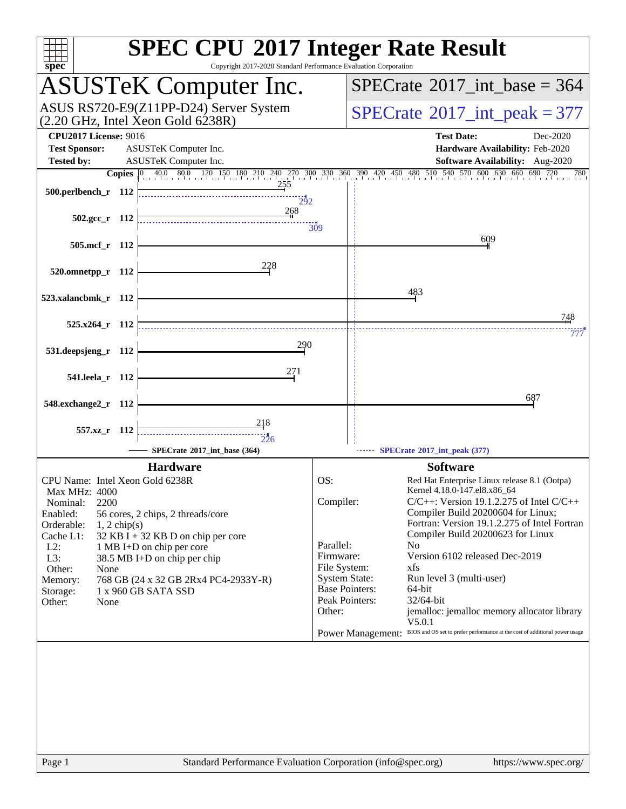| $spec^*$                                                                                                                    | <b>SPEC CPU®2017 Integer Rate Result</b><br>Copyright 2017-2020 Standard Performance Evaluation Corporation                                                                                        |
|-----------------------------------------------------------------------------------------------------------------------------|----------------------------------------------------------------------------------------------------------------------------------------------------------------------------------------------------|
| <b>ASUSTeK Computer Inc.</b>                                                                                                | $SPECTate$ <sup>®</sup> 2017_int_base = 364                                                                                                                                                        |
| ASUS RS720-E9(Z11PP-D24) Server System<br>(2.20 GHz, Intel Xeon Gold 6238R)                                                 | $SPECTate$ <sup>®</sup> 2017_int_peak = 377                                                                                                                                                        |
| <b>CPU2017 License: 9016</b><br><b>Test Sponsor:</b><br>ASUSTeK Computer Inc.<br>ASUSTeK Computer Inc.<br><b>Tested by:</b> | <b>Test Date:</b><br>Dec-2020<br>Hardware Availability: Feb-2020<br>Software Availability: Aug-2020                                                                                                |
|                                                                                                                             | <b>Copies</b> $\begin{bmatrix} 0 & 40.0 & 80.0 & 120 & 150 & 180 & 210 & 240 & 270 & 300 & 330 & 360 & 390 & 420 & 450 & 480 & 510 & 540 & 570 & 600 & 630 & 660 & 690 & 720 \end{bmatrix}$<br>780 |
| <u>255</u><br>500.perlbench_r 112<br>292                                                                                    |                                                                                                                                                                                                    |
| 268<br>$502.\text{gcc r}$ 112                                                                                               | 309                                                                                                                                                                                                |
| 505.mcf r 112                                                                                                               | 609                                                                                                                                                                                                |
| 228<br>520.omnetpp_r 112                                                                                                    |                                                                                                                                                                                                    |
| 523.xalancbmk_r 112                                                                                                         | 483                                                                                                                                                                                                |
| $525.x264$ r 112                                                                                                            | 748                                                                                                                                                                                                |
| 290<br>531.deepsjeng_r 112                                                                                                  | 777                                                                                                                                                                                                |
| 271<br>541.leela_r 112                                                                                                      |                                                                                                                                                                                                    |
| 548.exchange2_r 112                                                                                                         | 687                                                                                                                                                                                                |
| 218<br>557.xz_r 112                                                                                                         |                                                                                                                                                                                                    |
| 226<br>SPECrate®2017 int base (364)                                                                                         | SPECrate®2017_int_peak (377)                                                                                                                                                                       |
| <b>Hardware</b>                                                                                                             | <b>Software</b>                                                                                                                                                                                    |
| CPU Name: Intel Xeon Gold 6238R                                                                                             | OS:<br>Red Hat Enterprise Linux release 8.1 (Ootpa)<br>Kernel 4.18.0-147.el8.x86 64                                                                                                                |
| <b>Max MHz: 4000</b><br>2200<br>Nominal:                                                                                    | Compiler:<br>$C/C++$ : Version 19.1.2.275 of Intel $C/C++$                                                                                                                                         |
| Enabled:<br>56 cores, 2 chips, 2 threads/core                                                                               | Compiler Build 20200604 for Linux;<br>Fortran: Version 19.1.2.275 of Intel Fortran                                                                                                                 |
| Orderable:<br>$1, 2$ chip(s)<br>Cache L1:<br>32 KB I + 32 KB D on chip per core                                             | Compiler Build 20200623 for Linux                                                                                                                                                                  |
| $L2$ :<br>1 MB I+D on chip per core                                                                                         | Parallel:<br>N <sub>0</sub>                                                                                                                                                                        |
| L3:<br>38.5 MB I+D on chip per chip<br>Other:<br>None                                                                       | Firmware:<br>Version 6102 released Dec-2019<br>File System:<br>xfs                                                                                                                                 |
| 768 GB (24 x 32 GB 2Rx4 PC4-2933Y-R)<br>Memory:                                                                             | <b>System State:</b><br>Run level 3 (multi-user)                                                                                                                                                   |
| 1 x 960 GB SATA SSD<br>Storage:                                                                                             | <b>Base Pointers:</b><br>64-bit<br>Peak Pointers:<br>32/64-bit                                                                                                                                     |
| Other:<br>None                                                                                                              | Other:<br>jemalloc: jemalloc memory allocator library<br>V5.0.1                                                                                                                                    |
|                                                                                                                             | BIOS and OS set to prefer performance at the cost of additional power usage<br><b>Power Management:</b>                                                                                            |
|                                                                                                                             |                                                                                                                                                                                                    |
| Page 1                                                                                                                      | Standard Performance Evaluation Corporation (info@spec.org)<br>https://www.spec.org/                                                                                                               |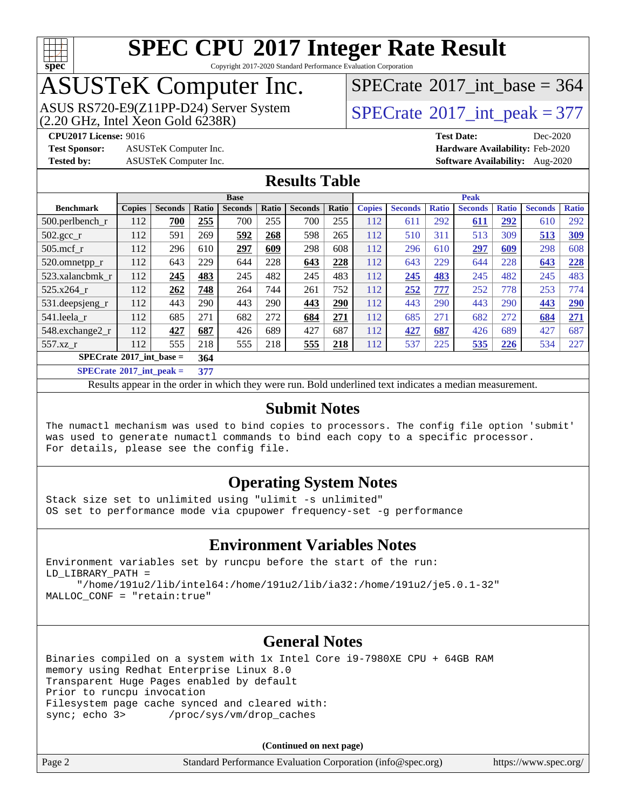

Copyright 2017-2020 Standard Performance Evaluation Corporation

### ASUSTeK Computer Inc.

ASUS RS720-E9(Z11PP-D24) Server System  $(2.20 \text{ GHz}, \text{ Intel Xeon Gold } 6238\text{R})$  [SPECrate](http://www.spec.org/auto/cpu2017/Docs/result-fields.html#SPECrate2017intpeak)®[2017\\_int\\_peak = 3](http://www.spec.org/auto/cpu2017/Docs/result-fields.html#SPECrate2017intpeak)77

 $SPECTate$ <sup>®</sup>[2017\\_int\\_base =](http://www.spec.org/auto/cpu2017/Docs/result-fields.html#SPECrate2017intbase) 364

**[CPU2017 License:](http://www.spec.org/auto/cpu2017/Docs/result-fields.html#CPU2017License)** 9016 **[Test Date:](http://www.spec.org/auto/cpu2017/Docs/result-fields.html#TestDate)** Dec-2020

**[Test Sponsor:](http://www.spec.org/auto/cpu2017/Docs/result-fields.html#TestSponsor)** ASUSTeK Computer Inc. **[Hardware Availability:](http://www.spec.org/auto/cpu2017/Docs/result-fields.html#HardwareAvailability)** Feb-2020

**[Tested by:](http://www.spec.org/auto/cpu2017/Docs/result-fields.html#Testedby)** ASUSTeK Computer Inc. **[Software Availability:](http://www.spec.org/auto/cpu2017/Docs/result-fields.html#SoftwareAvailability)** Aug-2020

#### **[Results Table](http://www.spec.org/auto/cpu2017/Docs/result-fields.html#ResultsTable)**

|                                          | <b>Base</b>   |                |                      |                | <b>Peak</b> |                |       |                                                                   |     |     |     |              |                |              |
|------------------------------------------|---------------|----------------|----------------------|----------------|-------------|----------------|-------|-------------------------------------------------------------------|-----|-----|-----|--------------|----------------|--------------|
| <b>Benchmark</b>                         | <b>Copies</b> | <b>Seconds</b> | Ratio                | <b>Seconds</b> | Ratio       | <b>Seconds</b> | Ratio | <b>Copies</b><br><b>Seconds</b><br><b>Seconds</b><br><b>Ratio</b> |     |     |     | <b>Ratio</b> | <b>Seconds</b> | <b>Ratio</b> |
| $500.$ perlbench_r                       | 112           | 700            | 255                  | 700            | 255         | 700            | 255   | 112                                                               | 611 | 292 | 611 | 292          | 610            | 292          |
| $502.\text{gcc}$ _r                      | 112           | 591            | 269                  | 592            | 268         | 598            | 265   | 112                                                               | 510 | 311 | 513 | 309          | 513            | 309          |
| $505$ .mcf r                             | 112           | 296            | 610                  | 297            | 609         | 298            | 608   | 112                                                               | 296 | 610 | 297 | 609          | 298            | 608          |
| 520.omnetpp_r                            | 112           | 643            | 229                  | 644            | 228         | 643            | 228   | 112                                                               | 643 | 229 | 644 | 228          | 643            | 228          |
| 523.xalancbmk r                          | 112           | 245            | 483                  | 245            | 482         | 245            | 483   | 112                                                               | 245 | 483 | 245 | 482          | 245            | 483          |
| 525.x264 r                               | 112           | 262            | 748                  | 264            | 744         | 261            | 752   | 112                                                               | 252 | 777 | 252 | 778          | 253            | 774          |
| 531.deepsjeng_r                          | 112           | 443            | 290                  | 443            | 290         | 443            | 290   | 112                                                               | 443 | 290 | 443 | 290          | 443            | 290          |
| 541.leela r                              | 112           | 685            | 271                  | 682            | 272         | 684            | 271   | 112                                                               | 685 | 271 | 682 | 272          | 684            | 271          |
| 548.exchange2_r                          | 112           | 427            | 687                  | 426            | 689         | 427            | 687   | 112                                                               | 427 | 687 | 426 | 689          | 427            | 687          |
| 557.xz r                                 | 112           | 555            | 218                  | 555            | 218         | 555            | 218   | 112                                                               | 537 | 225 | 535 | 226          | 534            | 227          |
| $SPECrate^{\circ}2017$ int base =<br>364 |               |                |                      |                |             |                |       |                                                                   |     |     |     |              |                |              |
| $CDEDC = 1.6904E^{-1}$ and $1.1$         |               |                | $\sim$ $\sim$ $\sim$ |                |             |                |       |                                                                   |     |     |     |              |                |              |

**[SPECrate](http://www.spec.org/auto/cpu2017/Docs/result-fields.html#SPECrate2017intpeak)[2017\\_int\\_peak =](http://www.spec.org/auto/cpu2017/Docs/result-fields.html#SPECrate2017intpeak) 377**

Results appear in the [order in which they were run](http://www.spec.org/auto/cpu2017/Docs/result-fields.html#RunOrder). Bold underlined text [indicates a median measurement](http://www.spec.org/auto/cpu2017/Docs/result-fields.html#Median).

#### **[Submit Notes](http://www.spec.org/auto/cpu2017/Docs/result-fields.html#SubmitNotes)**

The numactl mechanism was used to bind copies to processors. The config file option 'submit' was used to generate numactl commands to bind each copy to a specific processor. For details, please see the config file.

#### **[Operating System Notes](http://www.spec.org/auto/cpu2017/Docs/result-fields.html#OperatingSystemNotes)**

Stack size set to unlimited using "ulimit -s unlimited" OS set to performance mode via cpupower frequency-set -g performance

#### **[Environment Variables Notes](http://www.spec.org/auto/cpu2017/Docs/result-fields.html#EnvironmentVariablesNotes)**

Environment variables set by runcpu before the start of the run: LD\_LIBRARY\_PATH = "/home/191u2/lib/intel64:/home/191u2/lib/ia32:/home/191u2/je5.0.1-32"

MALLOC\_CONF = "retain:true"

#### **[General Notes](http://www.spec.org/auto/cpu2017/Docs/result-fields.html#GeneralNotes)**

Binaries compiled on a system with 1x Intel Core i9-7980XE CPU + 64GB RAM memory using Redhat Enterprise Linux 8.0 Transparent Huge Pages enabled by default Prior to runcpu invocation Filesystem page cache synced and cleared with: sync; echo 3> /proc/sys/vm/drop\_caches

| Page 2 | Standard Performance Evaluation Corporation (info@spec.org) | https://www.spec.org/ |
|--------|-------------------------------------------------------------|-----------------------|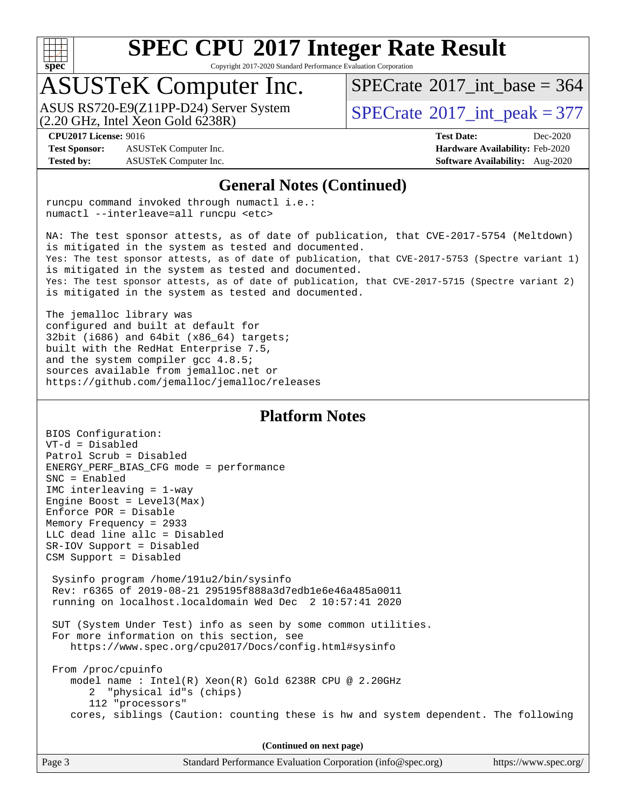

Copyright 2017-2020 Standard Performance Evaluation Corporation

### ASUSTeK Computer Inc.

 $(2.20 \text{ GHz}, \text{ Intel Xeon Gold } 6238\text{R})$ ASUS RS720-E9(Z11PP-D24) Server System  $SPECrate^{\circ}2017$  $SPECrate^{\circ}2017$  int peak = 377

 $SPECTate$ <sup>®</sup>[2017\\_int\\_base =](http://www.spec.org/auto/cpu2017/Docs/result-fields.html#SPECrate2017intbase) 364

**[Test Sponsor:](http://www.spec.org/auto/cpu2017/Docs/result-fields.html#TestSponsor)** ASUSTeK Computer Inc. **[Hardware Availability:](http://www.spec.org/auto/cpu2017/Docs/result-fields.html#HardwareAvailability)** Feb-2020 **[Tested by:](http://www.spec.org/auto/cpu2017/Docs/result-fields.html#Testedby)** ASUSTeK Computer Inc. **[Software Availability:](http://www.spec.org/auto/cpu2017/Docs/result-fields.html#SoftwareAvailability)** Aug-2020

**[CPU2017 License:](http://www.spec.org/auto/cpu2017/Docs/result-fields.html#CPU2017License)** 9016 **[Test Date:](http://www.spec.org/auto/cpu2017/Docs/result-fields.html#TestDate)** Dec-2020

#### **[General Notes \(Continued\)](http://www.spec.org/auto/cpu2017/Docs/result-fields.html#GeneralNotes)**

runcpu command invoked through numactl i.e.: numactl --interleave=all runcpu <etc>

NA: The test sponsor attests, as of date of publication, that CVE-2017-5754 (Meltdown) is mitigated in the system as tested and documented. Yes: The test sponsor attests, as of date of publication, that CVE-2017-5753 (Spectre variant 1) is mitigated in the system as tested and documented. Yes: The test sponsor attests, as of date of publication, that CVE-2017-5715 (Spectre variant 2) is mitigated in the system as tested and documented.

The jemalloc library was configured and built at default for 32bit (i686) and 64bit (x86\_64) targets; built with the RedHat Enterprise 7.5, and the system compiler gcc 4.8.5; sources available from jemalloc.net or <https://github.com/jemalloc/jemalloc/releases>

#### **[Platform Notes](http://www.spec.org/auto/cpu2017/Docs/result-fields.html#PlatformNotes)**

BIOS Configuration: VT-d = Disabled Patrol Scrub = Disabled ENERGY\_PERF\_BIAS\_CFG mode = performance SNC = Enabled IMC interleaving = 1-way Engine Boost = Level3(Max) Enforce POR = Disable Memory Frequency = 2933 LLC dead line allc = Disabled SR-IOV Support = Disabled CSM Support = Disabled Sysinfo program /home/191u2/bin/sysinfo Rev: r6365 of 2019-08-21 295195f888a3d7edb1e6e46a485a0011 running on localhost.localdomain Wed Dec 2 10:57:41 2020 SUT (System Under Test) info as seen by some common utilities. For more information on this section, see <https://www.spec.org/cpu2017/Docs/config.html#sysinfo> From /proc/cpuinfo model name : Intel(R) Xeon(R) Gold 6238R CPU @ 2.20GHz 2 "physical id"s (chips) 112 "processors" cores, siblings (Caution: counting these is hw and system dependent. The following

| Page 3 | Standard Performance Evaluation Corporation (info@spec.org) | https://www.spec.org/ |
|--------|-------------------------------------------------------------|-----------------------|
|        |                                                             |                       |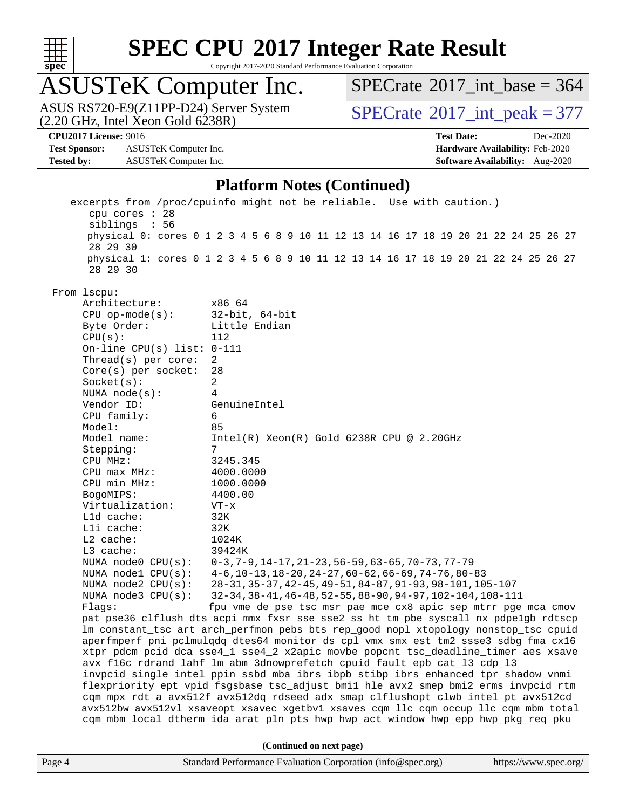

Copyright 2017-2020 Standard Performance Evaluation Corporation

## ASUSTeK Computer Inc.

ASUS RS720-E9(Z11PP-D24) Server System  $(2.20 \text{ GHz}, \text{ Intel Xeon Gold } 6238\text{R})$  [SPECrate](http://www.spec.org/auto/cpu2017/Docs/result-fields.html#SPECrate2017intpeak)®[2017\\_int\\_peak = 3](http://www.spec.org/auto/cpu2017/Docs/result-fields.html#SPECrate2017intpeak)77

 $SPECrate$ <sup>®</sup>[2017\\_int\\_base =](http://www.spec.org/auto/cpu2017/Docs/result-fields.html#SPECrate2017intbase) 364

**[Test Sponsor:](http://www.spec.org/auto/cpu2017/Docs/result-fields.html#TestSponsor)** ASUSTeK Computer Inc. **[Hardware Availability:](http://www.spec.org/auto/cpu2017/Docs/result-fields.html#HardwareAvailability)** Feb-2020 **[Tested by:](http://www.spec.org/auto/cpu2017/Docs/result-fields.html#Testedby)** ASUSTeK Computer Inc. **[Software Availability:](http://www.spec.org/auto/cpu2017/Docs/result-fields.html#SoftwareAvailability)** Aug-2020

**[CPU2017 License:](http://www.spec.org/auto/cpu2017/Docs/result-fields.html#CPU2017License)** 9016 **[Test Date:](http://www.spec.org/auto/cpu2017/Docs/result-fields.html#TestDate)** Dec-2020

#### **[Platform Notes \(Continued\)](http://www.spec.org/auto/cpu2017/Docs/result-fields.html#PlatformNotes)**

|                                                                                                                                                                                                                                                                                                                     | excerpts from /proc/cpuinfo might not be reliable. Use with caution.)<br>cpu cores : 28 |                                                                                                                 |  |                          |  |  |  |  |  |  |                       |
|---------------------------------------------------------------------------------------------------------------------------------------------------------------------------------------------------------------------------------------------------------------------------------------------------------------------|-----------------------------------------------------------------------------------------|-----------------------------------------------------------------------------------------------------------------|--|--------------------------|--|--|--|--|--|--|-----------------------|
|                                                                                                                                                                                                                                                                                                                     | siblings : 56                                                                           |                                                                                                                 |  |                          |  |  |  |  |  |  |                       |
|                                                                                                                                                                                                                                                                                                                     | physical 0: cores 0 1 2 3 4 5 6 8 9 10 11 12 13 14 16 17 18 19 20 21 22 24 25 26 27     |                                                                                                                 |  |                          |  |  |  |  |  |  |                       |
|                                                                                                                                                                                                                                                                                                                     | 28 29 30                                                                                |                                                                                                                 |  |                          |  |  |  |  |  |  |                       |
|                                                                                                                                                                                                                                                                                                                     | physical 1: cores 0 1 2 3 4 5 6 8 9 10 11 12 13 14 16 17 18 19 20 21 22 24 25 26 27     |                                                                                                                 |  |                          |  |  |  |  |  |  |                       |
|                                                                                                                                                                                                                                                                                                                     | 28 29 30                                                                                |                                                                                                                 |  |                          |  |  |  |  |  |  |                       |
|                                                                                                                                                                                                                                                                                                                     |                                                                                         |                                                                                                                 |  |                          |  |  |  |  |  |  |                       |
|                                                                                                                                                                                                                                                                                                                     | From 1scpu:<br>Architecture:                                                            | x86_64                                                                                                          |  |                          |  |  |  |  |  |  |                       |
|                                                                                                                                                                                                                                                                                                                     | $CPU$ op-mode( $s$ ):                                                                   | $32$ -bit, $64$ -bit                                                                                            |  |                          |  |  |  |  |  |  |                       |
|                                                                                                                                                                                                                                                                                                                     | Byte Order:                                                                             | Little Endian                                                                                                   |  |                          |  |  |  |  |  |  |                       |
|                                                                                                                                                                                                                                                                                                                     | CPU(s):                                                                                 | 112                                                                                                             |  |                          |  |  |  |  |  |  |                       |
|                                                                                                                                                                                                                                                                                                                     | On-line CPU(s) list: $0-111$                                                            |                                                                                                                 |  |                          |  |  |  |  |  |  |                       |
|                                                                                                                                                                                                                                                                                                                     | Thread( $s$ ) per core:                                                                 | $\overline{a}$                                                                                                  |  |                          |  |  |  |  |  |  |                       |
|                                                                                                                                                                                                                                                                                                                     | Core(s) per socket:                                                                     | 28                                                                                                              |  |                          |  |  |  |  |  |  |                       |
|                                                                                                                                                                                                                                                                                                                     | Socket(s):                                                                              | $\overline{a}$                                                                                                  |  |                          |  |  |  |  |  |  |                       |
|                                                                                                                                                                                                                                                                                                                     | NUMA $node(s):$                                                                         | 4                                                                                                               |  |                          |  |  |  |  |  |  |                       |
|                                                                                                                                                                                                                                                                                                                     | Vendor ID:                                                                              | GenuineIntel                                                                                                    |  |                          |  |  |  |  |  |  |                       |
|                                                                                                                                                                                                                                                                                                                     | CPU family:                                                                             | 6                                                                                                               |  |                          |  |  |  |  |  |  |                       |
|                                                                                                                                                                                                                                                                                                                     | Model:                                                                                  | 85                                                                                                              |  |                          |  |  |  |  |  |  |                       |
|                                                                                                                                                                                                                                                                                                                     | Model name:                                                                             | $Intel(R) Xeon(R) Gold 6238R CPU @ 2.20GHz$                                                                     |  |                          |  |  |  |  |  |  |                       |
|                                                                                                                                                                                                                                                                                                                     | Stepping:                                                                               | 7                                                                                                               |  |                          |  |  |  |  |  |  |                       |
|                                                                                                                                                                                                                                                                                                                     | CPU MHz:                                                                                | 3245.345                                                                                                        |  |                          |  |  |  |  |  |  |                       |
|                                                                                                                                                                                                                                                                                                                     | $CPU$ max $MHz$ :                                                                       | 4000.0000                                                                                                       |  |                          |  |  |  |  |  |  |                       |
|                                                                                                                                                                                                                                                                                                                     | CPU min MHz:                                                                            | 1000.0000                                                                                                       |  |                          |  |  |  |  |  |  |                       |
|                                                                                                                                                                                                                                                                                                                     | BogoMIPS:                                                                               | 4400.00                                                                                                         |  |                          |  |  |  |  |  |  |                       |
|                                                                                                                                                                                                                                                                                                                     | Virtualization:                                                                         | $VT - x$                                                                                                        |  |                          |  |  |  |  |  |  |                       |
|                                                                                                                                                                                                                                                                                                                     | L1d cache:                                                                              | 32K                                                                                                             |  |                          |  |  |  |  |  |  |                       |
|                                                                                                                                                                                                                                                                                                                     | Lli cache:                                                                              | 32K                                                                                                             |  |                          |  |  |  |  |  |  |                       |
|                                                                                                                                                                                                                                                                                                                     | L2 cache:                                                                               | 1024K                                                                                                           |  |                          |  |  |  |  |  |  |                       |
|                                                                                                                                                                                                                                                                                                                     | L3 cache:                                                                               | 39424K                                                                                                          |  |                          |  |  |  |  |  |  |                       |
|                                                                                                                                                                                                                                                                                                                     | NUMA $node0$ $CPU(s)$ :<br>NUMA $node1$ $CPU(s):$                                       | $0-3, 7-9, 14-17, 21-23, 56-59, 63-65, 70-73, 77-79$<br>$4-6$ , 10-13, 18-20, 24-27, 60-62, 66-69, 74-76, 80-83 |  |                          |  |  |  |  |  |  |                       |
|                                                                                                                                                                                                                                                                                                                     | NUMA $node2$ $CPU(s):$                                                                  | 28-31, 35-37, 42-45, 49-51, 84-87, 91-93, 98-101, 105-107                                                       |  |                          |  |  |  |  |  |  |                       |
|                                                                                                                                                                                                                                                                                                                     | NUMA $node3$ CPU $(s)$ :                                                                |                                                                                                                 |  |                          |  |  |  |  |  |  |                       |
| 32-34, 38-41, 46-48, 52-55, 88-90, 94-97, 102-104, 108-111<br>fpu vme de pse tsc msr pae mce cx8 apic sep mtrr pge mca cmov<br>Flagg:<br>pat pse36 clflush dts acpi mmx fxsr sse sse2 ss ht tm pbe syscall nx pdpelgb rdtscp<br>lm constant_tsc art arch_perfmon pebs bts rep_good nopl xtopology nonstop_tsc cpuid |                                                                                         |                                                                                                                 |  |                          |  |  |  |  |  |  |                       |
|                                                                                                                                                                                                                                                                                                                     |                                                                                         |                                                                                                                 |  |                          |  |  |  |  |  |  |                       |
|                                                                                                                                                                                                                                                                                                                     |                                                                                         |                                                                                                                 |  |                          |  |  |  |  |  |  |                       |
|                                                                                                                                                                                                                                                                                                                     | aperfmperf pni pclmulqdq dtes64 monitor ds_cpl vmx smx est tm2 ssse3 sdbg fma cx16      |                                                                                                                 |  |                          |  |  |  |  |  |  |                       |
| xtpr pdcm pcid dca sse4_1 sse4_2 x2apic movbe popcnt tsc_deadline_timer aes xsave                                                                                                                                                                                                                                   |                                                                                         |                                                                                                                 |  |                          |  |  |  |  |  |  |                       |
|                                                                                                                                                                                                                                                                                                                     | avx f16c rdrand lahf_lm abm 3dnowprefetch cpuid_fault epb cat_13 cdp_13                 |                                                                                                                 |  |                          |  |  |  |  |  |  |                       |
|                                                                                                                                                                                                                                                                                                                     | invpcid_single intel_ppin ssbd mba ibrs ibpb stibp ibrs_enhanced tpr_shadow vnmi        |                                                                                                                 |  |                          |  |  |  |  |  |  |                       |
|                                                                                                                                                                                                                                                                                                                     | flexpriority ept vpid fsgsbase tsc_adjust bmil hle avx2 smep bmi2 erms invpcid rtm      |                                                                                                                 |  |                          |  |  |  |  |  |  |                       |
|                                                                                                                                                                                                                                                                                                                     | cqm mpx rdt_a avx512f avx512dq rdseed adx smap clflushopt clwb intel_pt avx512cd        |                                                                                                                 |  |                          |  |  |  |  |  |  |                       |
|                                                                                                                                                                                                                                                                                                                     | avx512bw avx512vl xsaveopt xsavec xgetbv1 xsaves cqm_llc cqm_occup_llc cqm_mbm_total    |                                                                                                                 |  |                          |  |  |  |  |  |  |                       |
|                                                                                                                                                                                                                                                                                                                     | cqm_mbm_local dtherm ida arat pln pts hwp hwp_act_window hwp_epp hwp_pkg_req pku        |                                                                                                                 |  |                          |  |  |  |  |  |  |                       |
|                                                                                                                                                                                                                                                                                                                     |                                                                                         |                                                                                                                 |  | (Continued on next page) |  |  |  |  |  |  |                       |
| Page 4                                                                                                                                                                                                                                                                                                              |                                                                                         | Standard Performance Evaluation Corporation (info@spec.org)                                                     |  |                          |  |  |  |  |  |  | https://www.spec.org/ |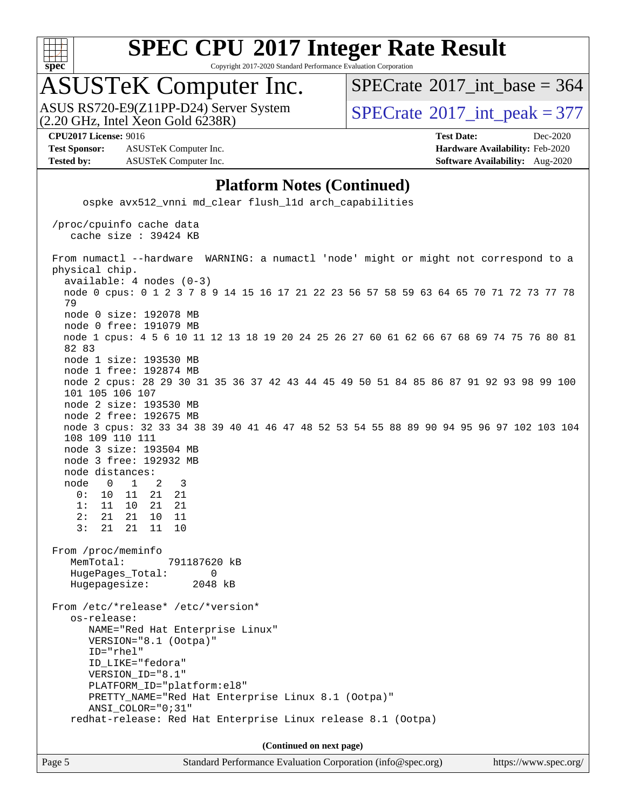

Copyright 2017-2020 Standard Performance Evaluation Corporation

### ASUSTeK Computer Inc.

 $(2.20 \text{ GHz}, \text{ Intel } \hat{\text{X}}$ con Gold 6238R) ASUS RS720-E9(Z11PP-D24) Server System  $SPECrate^{\circ}2017$  $SPECrate^{\circ}2017$  int peak = 377

 $SPECTate$ <sup>®</sup>[2017\\_int\\_base =](http://www.spec.org/auto/cpu2017/Docs/result-fields.html#SPECrate2017intbase) 364

**[Test Sponsor:](http://www.spec.org/auto/cpu2017/Docs/result-fields.html#TestSponsor)** ASUSTeK Computer Inc. **[Hardware Availability:](http://www.spec.org/auto/cpu2017/Docs/result-fields.html#HardwareAvailability)** Feb-2020 **[Tested by:](http://www.spec.org/auto/cpu2017/Docs/result-fields.html#Testedby)** ASUSTeK Computer Inc. **[Software Availability:](http://www.spec.org/auto/cpu2017/Docs/result-fields.html#SoftwareAvailability)** Aug-2020

**[CPU2017 License:](http://www.spec.org/auto/cpu2017/Docs/result-fields.html#CPU2017License)** 9016 **[Test Date:](http://www.spec.org/auto/cpu2017/Docs/result-fields.html#TestDate)** Dec-2020

#### **[Platform Notes \(Continued\)](http://www.spec.org/auto/cpu2017/Docs/result-fields.html#PlatformNotes)**

 ospke avx512\_vnni md\_clear flush\_l1d arch\_capabilities /proc/cpuinfo cache data cache size : 39424 KB From numactl --hardware WARNING: a numactl 'node' might or might not correspond to a physical chip. available: 4 nodes (0-3) node 0 cpus: 0 1 2 3 7 8 9 14 15 16 17 21 22 23 56 57 58 59 63 64 65 70 71 72 73 77 78 79 node 0 size: 192078 MB node 0 free: 191079 MB node 1 cpus: 4 5 6 10 11 12 13 18 19 20 24 25 26 27 60 61 62 66 67 68 69 74 75 76 80 81 82 83 node 1 size: 193530 MB node 1 free: 192874 MB node 2 cpus: 28 29 30 31 35 36 37 42 43 44 45 49 50 51 84 85 86 87 91 92 93 98 99 100 101 105 106 107 node 2 size: 193530 MB node 2 free: 192675 MB node 3 cpus: 32 33 34 38 39 40 41 46 47 48 52 53 54 55 88 89 90 94 95 96 97 102 103 104 108 109 110 111 node 3 size: 193504 MB node 3 free: 192932 MB node distances: node 0 1 2 3 0: 10 11 21 21 1: 11 10 21 21 2: 21 21 10 11 3: 21 21 11 10 From /proc/meminfo MemTotal: 791187620 kB HugePages\_Total: 0 Hugepagesize: 2048 kB From /etc/\*release\* /etc/\*version\* os-release: NAME="Red Hat Enterprise Linux" VERSION="8.1 (Ootpa)" ID="rhel" ID\_LIKE="fedora" VERSION\_ID="8.1" PLATFORM\_ID="platform:el8" PRETTY\_NAME="Red Hat Enterprise Linux 8.1 (Ootpa)" ANSI\_COLOR="0;31" redhat-release: Red Hat Enterprise Linux release 8.1 (Ootpa) **(Continued on next page)**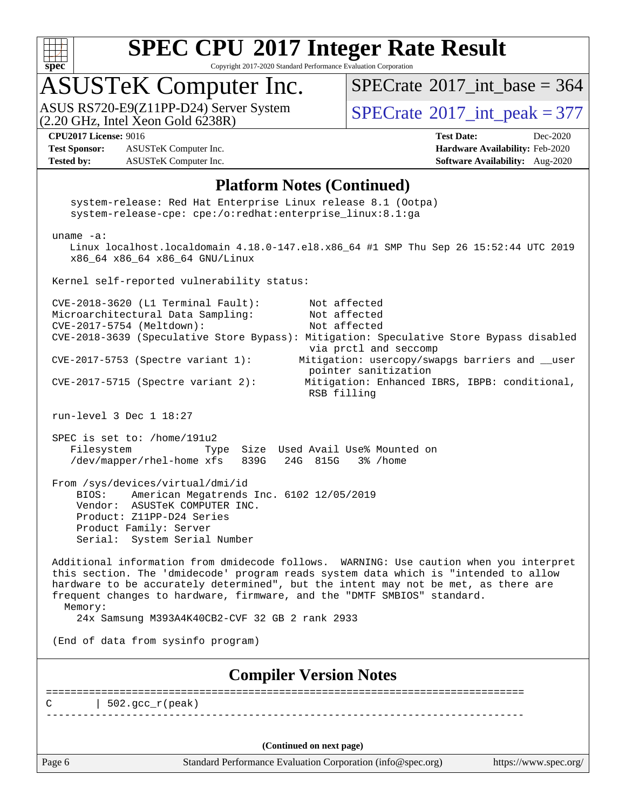

Copyright 2017-2020 Standard Performance Evaluation Corporation

## ASUSTeK Computer Inc.

ASUS RS720-E9(Z11PP-D24) Server System  $(2.20 \text{ GHz}, \text{ Intel Xeon Gold } 6238\text{R})$  [SPECrate](http://www.spec.org/auto/cpu2017/Docs/result-fields.html#SPECrate2017intpeak)®[2017\\_int\\_peak = 3](http://www.spec.org/auto/cpu2017/Docs/result-fields.html#SPECrate2017intpeak)77

 $SPECrate$ <sup>®</sup>[2017\\_int\\_base =](http://www.spec.org/auto/cpu2017/Docs/result-fields.html#SPECrate2017intbase) 364

**[Test Sponsor:](http://www.spec.org/auto/cpu2017/Docs/result-fields.html#TestSponsor)** ASUSTeK Computer Inc. **[Hardware Availability:](http://www.spec.org/auto/cpu2017/Docs/result-fields.html#HardwareAvailability)** Feb-2020 **[Tested by:](http://www.spec.org/auto/cpu2017/Docs/result-fields.html#Testedby)** ASUSTeK Computer Inc. **[Software Availability:](http://www.spec.org/auto/cpu2017/Docs/result-fields.html#SoftwareAvailability)** Aug-2020

**[CPU2017 License:](http://www.spec.org/auto/cpu2017/Docs/result-fields.html#CPU2017License)** 9016 **[Test Date:](http://www.spec.org/auto/cpu2017/Docs/result-fields.html#TestDate)** Dec-2020

#### **[Platform Notes \(Continued\)](http://www.spec.org/auto/cpu2017/Docs/result-fields.html#PlatformNotes)**

|                                                                                                                                                                                      | system-release-cpe: cpe:/o:redhat:enterprise_linux:8.1:ga                                                 | system-release: Red Hat Enterprise Linux release 8.1 (Ootpa)                                                                                                                                                                                                                                                                                   |                       |
|--------------------------------------------------------------------------------------------------------------------------------------------------------------------------------------|-----------------------------------------------------------------------------------------------------------|------------------------------------------------------------------------------------------------------------------------------------------------------------------------------------------------------------------------------------------------------------------------------------------------------------------------------------------------|-----------------------|
| uname $-a$ :                                                                                                                                                                         | x86_64 x86_64 x86_64 GNU/Linux                                                                            | Linux localhost.localdomain 4.18.0-147.el8.x86_64 #1 SMP Thu Sep 26 15:52:44 UTC 2019                                                                                                                                                                                                                                                          |                       |
|                                                                                                                                                                                      | Kernel self-reported vulnerability status:                                                                |                                                                                                                                                                                                                                                                                                                                                |                       |
| CVE-2018-3620 (L1 Terminal Fault):<br>Microarchitectural Data Sampling:<br>CVE-2017-5754 (Meltdown):<br>$CVE-2017-5753$ (Spectre variant 1):<br>$CVE-2017-5715$ (Spectre variant 2): |                                                                                                           | Not affected<br>Not affected<br>Not affected<br>CVE-2018-3639 (Speculative Store Bypass): Mitigation: Speculative Store Bypass disabled<br>via prctl and seccomp<br>Mitigation: usercopy/swapgs barriers and __user<br>pointer sanitization<br>Mitigation: Enhanced IBRS, IBPB: conditional,<br>RSB filling                                    |                       |
| run-level $3$ Dec $1$ $18:27$                                                                                                                                                        |                                                                                                           |                                                                                                                                                                                                                                                                                                                                                |                       |
| SPEC is set to: /home/191u2<br>Filesystem                                                                                                                                            | /dev/mapper/rhel-home xfs 839G                                                                            | Type Size Used Avail Use% Mounted on<br>24G 815G 3% / home                                                                                                                                                                                                                                                                                     |                       |
| From /sys/devices/virtual/dmi/id<br>BIOS:<br>Product: Z11PP-D24 Series<br>Product Family: Server                                                                                     | American Megatrends Inc. 6102 12/05/2019<br>Vendor: ASUSTeK COMPUTER INC.<br>Serial: System Serial Number |                                                                                                                                                                                                                                                                                                                                                |                       |
| Memory:                                                                                                                                                                              | 24x Samsung M393A4K40CB2-CVF 32 GB 2 rank 2933                                                            | Additional information from dmidecode follows. WARNING: Use caution when you interpret<br>this section. The 'dmidecode' program reads system data which is "intended to allow<br>hardware to be accurately determined", but the intent may not be met, as there are<br>frequent changes to hardware, firmware, and the "DMTF SMBIOS" standard. |                       |
| (End of data from sysinfo program)                                                                                                                                                   |                                                                                                           |                                                                                                                                                                                                                                                                                                                                                |                       |
|                                                                                                                                                                                      |                                                                                                           | <b>Compiler Version Notes</b>                                                                                                                                                                                                                                                                                                                  |                       |
| $502.\text{gcc\_r}(\text{peak})$                                                                                                                                                     |                                                                                                           |                                                                                                                                                                                                                                                                                                                                                |                       |
|                                                                                                                                                                                      |                                                                                                           |                                                                                                                                                                                                                                                                                                                                                |                       |
|                                                                                                                                                                                      |                                                                                                           | (Continued on next page)                                                                                                                                                                                                                                                                                                                       |                       |
| Page 6                                                                                                                                                                               |                                                                                                           | Standard Performance Evaluation Corporation (info@spec.org)                                                                                                                                                                                                                                                                                    | https://www.spec.org/ |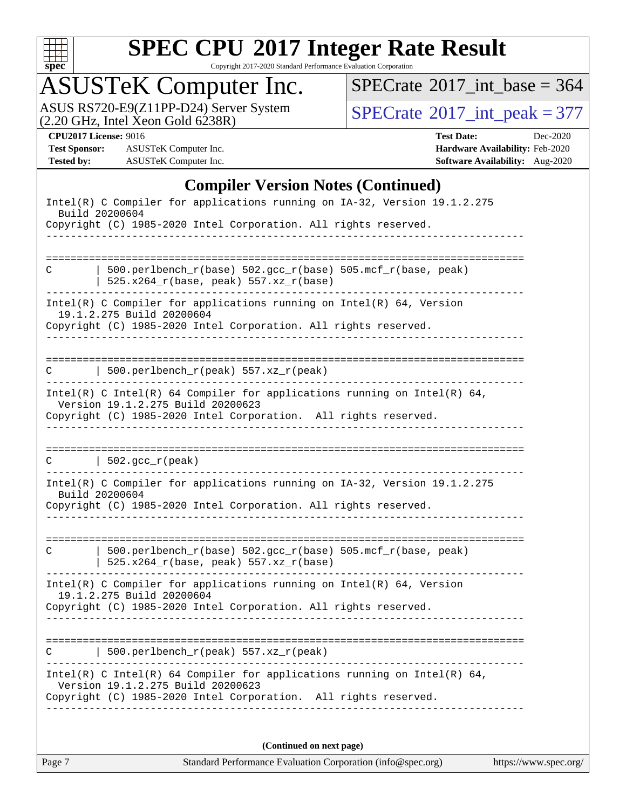

Copyright 2017-2020 Standard Performance Evaluation Corporation

# ASUSTeK Computer Inc.<br>ASUS RS720-E9(Z11PP-D24) Server System

 $(2.20 \text{ GHz}, \text{ Intel } X$ eon Gold  $6238R)$ 

 $SPECrate$ <sup>®</sup>[2017\\_int\\_base =](http://www.spec.org/auto/cpu2017/Docs/result-fields.html#SPECrate2017intbase) 364

 $SPECTate@2017_int_p, peak = 377$ 

**[Test Sponsor:](http://www.spec.org/auto/cpu2017/Docs/result-fields.html#TestSponsor)** ASUSTeK Computer Inc. **[Hardware Availability:](http://www.spec.org/auto/cpu2017/Docs/result-fields.html#HardwareAvailability)** Feb-2020 **[Tested by:](http://www.spec.org/auto/cpu2017/Docs/result-fields.html#Testedby)** ASUSTeK Computer Inc. **[Software Availability:](http://www.spec.org/auto/cpu2017/Docs/result-fields.html#SoftwareAvailability)** Aug-2020

**[CPU2017 License:](http://www.spec.org/auto/cpu2017/Docs/result-fields.html#CPU2017License)** 9016 **[Test Date:](http://www.spec.org/auto/cpu2017/Docs/result-fields.html#TestDate)** Dec-2020

#### **[Compiler Version Notes \(Continued\)](http://www.spec.org/auto/cpu2017/Docs/result-fields.html#CompilerVersionNotes)**

| Intel(R) C Compiler for applications running on IA-32, Version 19.1.2.275<br>Build 20200604                                                                                      |  |  |  |  |  |  |
|----------------------------------------------------------------------------------------------------------------------------------------------------------------------------------|--|--|--|--|--|--|
| Copyright (C) 1985-2020 Intel Corporation. All rights reserved.                                                                                                                  |  |  |  |  |  |  |
|                                                                                                                                                                                  |  |  |  |  |  |  |
| 500.perlbench_r(base) 502.gcc_r(base) 505.mcf_r(base, peak)<br>С<br>$525.x264_r(base, peak) 557.xz_r(base)$                                                                      |  |  |  |  |  |  |
| Intel(R) C Compiler for applications running on $Intel(R) 64$ , Version<br>19.1.2.275 Build 20200604                                                                             |  |  |  |  |  |  |
| Copyright (C) 1985-2020 Intel Corporation. All rights reserved.                                                                                                                  |  |  |  |  |  |  |
| 500.perlbench_r(peak) $557. xz_r$ (peak)<br>C                                                                                                                                    |  |  |  |  |  |  |
| Intel(R) C Intel(R) 64 Compiler for applications running on Intel(R) 64,<br>Version 19.1.2.275 Build 20200623<br>Copyright (C) 1985-2020 Intel Corporation. All rights reserved. |  |  |  |  |  |  |
|                                                                                                                                                                                  |  |  |  |  |  |  |
| $ 502.\text{gcc_r(peak)} $                                                                                                                                                       |  |  |  |  |  |  |
| Intel(R) C Compiler for applications running on IA-32, Version 19.1.2.275<br>Build 20200604<br>Copyright (C) 1985-2020 Intel Corporation. All rights reserved.                   |  |  |  |  |  |  |
|                                                                                                                                                                                  |  |  |  |  |  |  |
| 500.perlbench_r(base) 502.gcc_r(base) 505.mcf_r(base, peak)<br>C<br>525.x264_r(base, peak) 557.xz_r(base)                                                                        |  |  |  |  |  |  |
| Intel(R) C Compiler for applications running on $Intel(R) 64$ , Version<br>19.1.2.275 Build 20200604                                                                             |  |  |  |  |  |  |
| Copyright (C) 1985-2020 Intel Corporation. All rights reserved.                                                                                                                  |  |  |  |  |  |  |
| 500.perlbench_r(peak) $557.xz_r(peak)$                                                                                                                                           |  |  |  |  |  |  |
| Intel(R) C Intel(R) 64 Compiler for applications running on Intel(R) 64,                                                                                                         |  |  |  |  |  |  |
| Version 19.1.2.275 Build 20200623<br>Copyright (C) 1985-2020 Intel Corporation. All rights reserved.                                                                             |  |  |  |  |  |  |
|                                                                                                                                                                                  |  |  |  |  |  |  |
| (Continued on next page)                                                                                                                                                         |  |  |  |  |  |  |

Page 7 Standard Performance Evaluation Corporation [\(info@spec.org\)](mailto:info@spec.org) <https://www.spec.org/>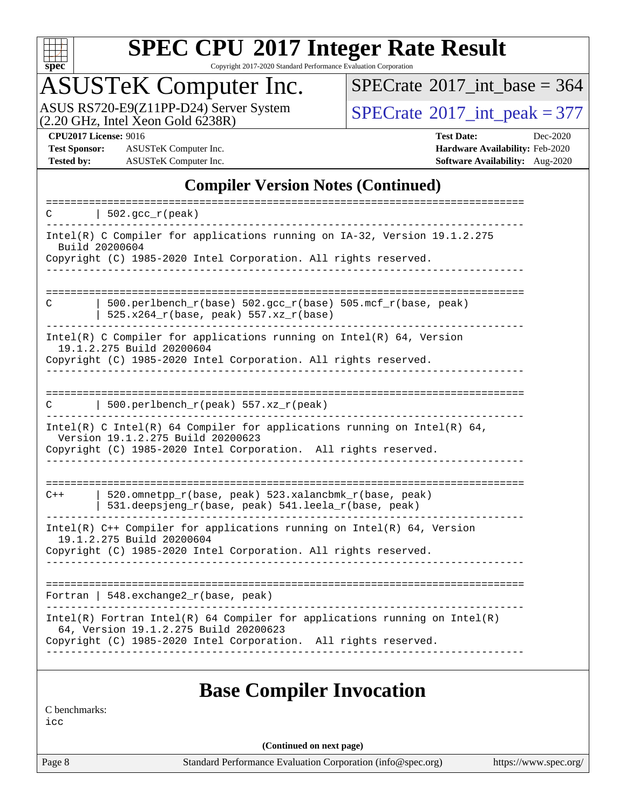

Copyright 2017-2020 Standard Performance Evaluation Corporation

### ASUSTeK Computer Inc.

ASUS RS720-E9(Z11PP-D24) Server System  $(2.20 \text{ GHz}, \text{ Intel Xeon Gold } 6238\text{R})$  [SPECrate](http://www.spec.org/auto/cpu2017/Docs/result-fields.html#SPECrate2017intpeak)®[2017\\_int\\_peak = 3](http://www.spec.org/auto/cpu2017/Docs/result-fields.html#SPECrate2017intpeak)77

 $SPECrate$ <sup>®</sup>[2017\\_int\\_base =](http://www.spec.org/auto/cpu2017/Docs/result-fields.html#SPECrate2017intbase) 364

**[Test Sponsor:](http://www.spec.org/auto/cpu2017/Docs/result-fields.html#TestSponsor)** ASUSTeK Computer Inc. **[Hardware Availability:](http://www.spec.org/auto/cpu2017/Docs/result-fields.html#HardwareAvailability)** Feb-2020 **[Tested by:](http://www.spec.org/auto/cpu2017/Docs/result-fields.html#Testedby)** ASUSTeK Computer Inc. **[Software Availability:](http://www.spec.org/auto/cpu2017/Docs/result-fields.html#SoftwareAvailability)** Aug-2020

**[CPU2017 License:](http://www.spec.org/auto/cpu2017/Docs/result-fields.html#CPU2017License)** 9016 **[Test Date:](http://www.spec.org/auto/cpu2017/Docs/result-fields.html#TestDate)** Dec-2020

#### **[Compiler Version Notes \(Continued\)](http://www.spec.org/auto/cpu2017/Docs/result-fields.html#CompilerVersionNotes)**

| $\vert$ 502.gcc_r(peak)<br>C.                                                                                                                                                            |
|------------------------------------------------------------------------------------------------------------------------------------------------------------------------------------------|
| Intel(R) C Compiler for applications running on IA-32, Version 19.1.2.275<br>Build 20200604<br>Copyright (C) 1985-2020 Intel Corporation. All rights reserved.                           |
| 500.perlbench_r(base) 502.gcc_r(base) 505.mcf_r(base, peak)<br>C<br>525.x264_r(base, peak) 557.xz_r(base)                                                                                |
| Intel(R) C Compiler for applications running on Intel(R) $64$ , Version<br>19.1.2.275 Build 20200604<br>Copyright (C) 1985-2020 Intel Corporation. All rights reserved.                  |
| 500.perlbench_r(peak) 557.xz_r(peak)<br>C                                                                                                                                                |
| Intel(R) C Intel(R) 64 Compiler for applications running on Intel(R) 64,<br>Version 19.1.2.275 Build 20200623<br>Copyright (C) 1985-2020 Intel Corporation. All rights reserved.         |
| 520.omnetpp_r(base, peak) 523.xalancbmk_r(base, peak)<br>$C++$<br>531.deepsjeng_r(base, peak) 541.leela_r(base, peak)                                                                    |
| Intel(R) $C++$ Compiler for applications running on Intel(R) 64, Version<br>19.1.2.275 Build 20200604<br>Copyright (C) 1985-2020 Intel Corporation. All rights reserved.                 |
| Fortran   $548$ . exchange $2r$ (base, peak)                                                                                                                                             |
| $Intel(R)$ Fortran Intel(R) 64 Compiler for applications running on Intel(R)<br>64, Version 19.1.2.275 Build 20200623<br>Copyright (C) 1985-2020 Intel Corporation. All rights reserved. |
|                                                                                                                                                                                          |

#### **[Base Compiler Invocation](http://www.spec.org/auto/cpu2017/Docs/result-fields.html#BaseCompilerInvocation)**

[C benchmarks:](http://www.spec.org/auto/cpu2017/Docs/result-fields.html#Cbenchmarks)

[icc](http://www.spec.org/cpu2017/results/res2020q4/cpu2017-20201207-24511.flags.html#user_CCbase_intel_icc_66fc1ee009f7361af1fbd72ca7dcefbb700085f36577c54f309893dd4ec40d12360134090235512931783d35fd58c0460139e722d5067c5574d8eaf2b3e37e92)

**(Continued on next page)**

Page 8 Standard Performance Evaluation Corporation [\(info@spec.org\)](mailto:info@spec.org) <https://www.spec.org/>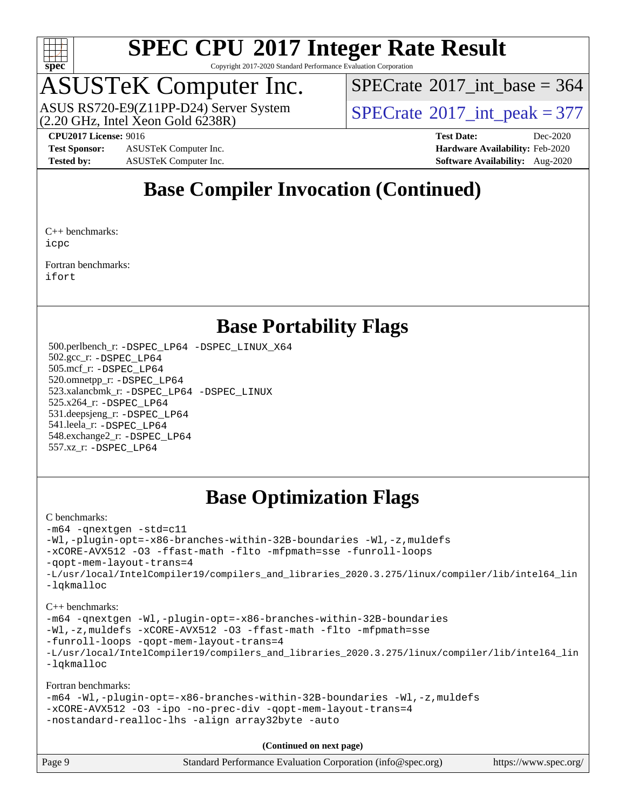

Copyright 2017-2020 Standard Performance Evaluation Corporation

### ASUSTeK Computer Inc.

 $(2.20 \text{ GHz}, \text{ Intel } \hat{\text{X}}$ con Gold 6238R) ASUS RS720-E9(Z11PP-D24) Server System  $SPECrate^{\circ}2017$  $SPECrate^{\circ}2017$  int peak = 377

 $SPECTate$ <sup>®</sup>[2017\\_int\\_base =](http://www.spec.org/auto/cpu2017/Docs/result-fields.html#SPECrate2017intbase) 364

**[Test Sponsor:](http://www.spec.org/auto/cpu2017/Docs/result-fields.html#TestSponsor)** ASUSTeK Computer Inc. **[Hardware Availability:](http://www.spec.org/auto/cpu2017/Docs/result-fields.html#HardwareAvailability)** Feb-2020 **[Tested by:](http://www.spec.org/auto/cpu2017/Docs/result-fields.html#Testedby)** ASUSTeK Computer Inc. **[Software Availability:](http://www.spec.org/auto/cpu2017/Docs/result-fields.html#SoftwareAvailability)** Aug-2020

**[CPU2017 License:](http://www.spec.org/auto/cpu2017/Docs/result-fields.html#CPU2017License)** 9016 **[Test Date:](http://www.spec.org/auto/cpu2017/Docs/result-fields.html#TestDate)** Dec-2020

#### **[Base Compiler Invocation \(Continued\)](http://www.spec.org/auto/cpu2017/Docs/result-fields.html#BaseCompilerInvocation)**

[C++ benchmarks](http://www.spec.org/auto/cpu2017/Docs/result-fields.html#CXXbenchmarks): [icpc](http://www.spec.org/cpu2017/results/res2020q4/cpu2017-20201207-24511.flags.html#user_CXXbase_intel_icpc_c510b6838c7f56d33e37e94d029a35b4a7bccf4766a728ee175e80a419847e808290a9b78be685c44ab727ea267ec2f070ec5dc83b407c0218cded6866a35d07)

[Fortran benchmarks](http://www.spec.org/auto/cpu2017/Docs/result-fields.html#Fortranbenchmarks): [ifort](http://www.spec.org/cpu2017/results/res2020q4/cpu2017-20201207-24511.flags.html#user_FCbase_intel_ifort_8111460550e3ca792625aed983ce982f94888b8b503583aa7ba2b8303487b4d8a21a13e7191a45c5fd58ff318f48f9492884d4413fa793fd88dd292cad7027ca)

#### **[Base Portability Flags](http://www.spec.org/auto/cpu2017/Docs/result-fields.html#BasePortabilityFlags)**

 500.perlbench\_r: [-DSPEC\\_LP64](http://www.spec.org/cpu2017/results/res2020q4/cpu2017-20201207-24511.flags.html#b500.perlbench_r_basePORTABILITY_DSPEC_LP64) [-DSPEC\\_LINUX\\_X64](http://www.spec.org/cpu2017/results/res2020q4/cpu2017-20201207-24511.flags.html#b500.perlbench_r_baseCPORTABILITY_DSPEC_LINUX_X64) 502.gcc\_r: [-DSPEC\\_LP64](http://www.spec.org/cpu2017/results/res2020q4/cpu2017-20201207-24511.flags.html#suite_basePORTABILITY502_gcc_r_DSPEC_LP64) 505.mcf\_r: [-DSPEC\\_LP64](http://www.spec.org/cpu2017/results/res2020q4/cpu2017-20201207-24511.flags.html#suite_basePORTABILITY505_mcf_r_DSPEC_LP64) 520.omnetpp\_r: [-DSPEC\\_LP64](http://www.spec.org/cpu2017/results/res2020q4/cpu2017-20201207-24511.flags.html#suite_basePORTABILITY520_omnetpp_r_DSPEC_LP64) 523.xalancbmk\_r: [-DSPEC\\_LP64](http://www.spec.org/cpu2017/results/res2020q4/cpu2017-20201207-24511.flags.html#suite_basePORTABILITY523_xalancbmk_r_DSPEC_LP64) [-DSPEC\\_LINUX](http://www.spec.org/cpu2017/results/res2020q4/cpu2017-20201207-24511.flags.html#b523.xalancbmk_r_baseCXXPORTABILITY_DSPEC_LINUX) 525.x264\_r: [-DSPEC\\_LP64](http://www.spec.org/cpu2017/results/res2020q4/cpu2017-20201207-24511.flags.html#suite_basePORTABILITY525_x264_r_DSPEC_LP64) 531.deepsjeng\_r: [-DSPEC\\_LP64](http://www.spec.org/cpu2017/results/res2020q4/cpu2017-20201207-24511.flags.html#suite_basePORTABILITY531_deepsjeng_r_DSPEC_LP64) 541.leela\_r: [-DSPEC\\_LP64](http://www.spec.org/cpu2017/results/res2020q4/cpu2017-20201207-24511.flags.html#suite_basePORTABILITY541_leela_r_DSPEC_LP64) 548.exchange2\_r: [-DSPEC\\_LP64](http://www.spec.org/cpu2017/results/res2020q4/cpu2017-20201207-24511.flags.html#suite_basePORTABILITY548_exchange2_r_DSPEC_LP64) 557.xz\_r: [-DSPEC\\_LP64](http://www.spec.org/cpu2017/results/res2020q4/cpu2017-20201207-24511.flags.html#suite_basePORTABILITY557_xz_r_DSPEC_LP64)

#### **[Base Optimization Flags](http://www.spec.org/auto/cpu2017/Docs/result-fields.html#BaseOptimizationFlags)**

#### [C benchmarks](http://www.spec.org/auto/cpu2017/Docs/result-fields.html#Cbenchmarks):

[-m64](http://www.spec.org/cpu2017/results/res2020q4/cpu2017-20201207-24511.flags.html#user_CCbase_m64-icc) [-qnextgen](http://www.spec.org/cpu2017/results/res2020q4/cpu2017-20201207-24511.flags.html#user_CCbase_f-qnextgen) [-std=c11](http://www.spec.org/cpu2017/results/res2020q4/cpu2017-20201207-24511.flags.html#user_CCbase_std-icc-std_0e1c27790398a4642dfca32ffe6c27b5796f9c2d2676156f2e42c9c44eaad0c049b1cdb667a270c34d979996257aeb8fc440bfb01818dbc9357bd9d174cb8524) [-Wl,-plugin-opt=-x86-branches-within-32B-boundaries](http://www.spec.org/cpu2017/results/res2020q4/cpu2017-20201207-24511.flags.html#user_CCbase_f-x86-branches-within-32B-boundaries_0098b4e4317ae60947b7b728078a624952a08ac37a3c797dfb4ffeb399e0c61a9dd0f2f44ce917e9361fb9076ccb15e7824594512dd315205382d84209e912f3) [-Wl,-z,muldefs](http://www.spec.org/cpu2017/results/res2020q4/cpu2017-20201207-24511.flags.html#user_CCbase_link_force_multiple1_b4cbdb97b34bdee9ceefcfe54f4c8ea74255f0b02a4b23e853cdb0e18eb4525ac79b5a88067c842dd0ee6996c24547a27a4b99331201badda8798ef8a743f577) [-xCORE-AVX512](http://www.spec.org/cpu2017/results/res2020q4/cpu2017-20201207-24511.flags.html#user_CCbase_f-xCORE-AVX512) [-O3](http://www.spec.org/cpu2017/results/res2020q4/cpu2017-20201207-24511.flags.html#user_CCbase_f-O3) [-ffast-math](http://www.spec.org/cpu2017/results/res2020q4/cpu2017-20201207-24511.flags.html#user_CCbase_f-ffast-math) [-flto](http://www.spec.org/cpu2017/results/res2020q4/cpu2017-20201207-24511.flags.html#user_CCbase_f-flto) [-mfpmath=sse](http://www.spec.org/cpu2017/results/res2020q4/cpu2017-20201207-24511.flags.html#user_CCbase_f-mfpmath_70eb8fac26bde974f8ab713bc9086c5621c0b8d2f6c86f38af0bd7062540daf19db5f3a066d8c6684be05d84c9b6322eb3b5be6619d967835195b93d6c02afa1) [-funroll-loops](http://www.spec.org/cpu2017/results/res2020q4/cpu2017-20201207-24511.flags.html#user_CCbase_f-funroll-loops) [-qopt-mem-layout-trans=4](http://www.spec.org/cpu2017/results/res2020q4/cpu2017-20201207-24511.flags.html#user_CCbase_f-qopt-mem-layout-trans_fa39e755916c150a61361b7846f310bcdf6f04e385ef281cadf3647acec3f0ae266d1a1d22d972a7087a248fd4e6ca390a3634700869573d231a252c784941a8) [-L/usr/local/IntelCompiler19/compilers\\_and\\_libraries\\_2020.3.275/linux/compiler/lib/intel64\\_lin](http://www.spec.org/cpu2017/results/res2020q4/cpu2017-20201207-24511.flags.html#user_CCbase_linkpath_6eb3b1b8be403820338b5b82e7a1c217a861a8962ac718a6253be1483b50620487664a39a847caf560d84a6b8bab7cca33d9f414525a12ede1e9473db34a3d08) [-lqkmalloc](http://www.spec.org/cpu2017/results/res2020q4/cpu2017-20201207-24511.flags.html#user_CCbase_qkmalloc_link_lib_79a818439969f771c6bc311cfd333c00fc099dad35c030f5aab9dda831713d2015205805422f83de8875488a2991c0a156aaa600e1f9138f8fc37004abc96dc5)

[C++ benchmarks](http://www.spec.org/auto/cpu2017/Docs/result-fields.html#CXXbenchmarks):

[-m64](http://www.spec.org/cpu2017/results/res2020q4/cpu2017-20201207-24511.flags.html#user_CXXbase_m64-icc) [-qnextgen](http://www.spec.org/cpu2017/results/res2020q4/cpu2017-20201207-24511.flags.html#user_CXXbase_f-qnextgen) [-Wl,-plugin-opt=-x86-branches-within-32B-boundaries](http://www.spec.org/cpu2017/results/res2020q4/cpu2017-20201207-24511.flags.html#user_CXXbase_f-x86-branches-within-32B-boundaries_0098b4e4317ae60947b7b728078a624952a08ac37a3c797dfb4ffeb399e0c61a9dd0f2f44ce917e9361fb9076ccb15e7824594512dd315205382d84209e912f3) [-Wl,-z,muldefs](http://www.spec.org/cpu2017/results/res2020q4/cpu2017-20201207-24511.flags.html#user_CXXbase_link_force_multiple1_b4cbdb97b34bdee9ceefcfe54f4c8ea74255f0b02a4b23e853cdb0e18eb4525ac79b5a88067c842dd0ee6996c24547a27a4b99331201badda8798ef8a743f577) [-xCORE-AVX512](http://www.spec.org/cpu2017/results/res2020q4/cpu2017-20201207-24511.flags.html#user_CXXbase_f-xCORE-AVX512) [-O3](http://www.spec.org/cpu2017/results/res2020q4/cpu2017-20201207-24511.flags.html#user_CXXbase_f-O3) [-ffast-math](http://www.spec.org/cpu2017/results/res2020q4/cpu2017-20201207-24511.flags.html#user_CXXbase_f-ffast-math) [-flto](http://www.spec.org/cpu2017/results/res2020q4/cpu2017-20201207-24511.flags.html#user_CXXbase_f-flto) [-mfpmath=sse](http://www.spec.org/cpu2017/results/res2020q4/cpu2017-20201207-24511.flags.html#user_CXXbase_f-mfpmath_70eb8fac26bde974f8ab713bc9086c5621c0b8d2f6c86f38af0bd7062540daf19db5f3a066d8c6684be05d84c9b6322eb3b5be6619d967835195b93d6c02afa1) [-funroll-loops](http://www.spec.org/cpu2017/results/res2020q4/cpu2017-20201207-24511.flags.html#user_CXXbase_f-funroll-loops) [-qopt-mem-layout-trans=4](http://www.spec.org/cpu2017/results/res2020q4/cpu2017-20201207-24511.flags.html#user_CXXbase_f-qopt-mem-layout-trans_fa39e755916c150a61361b7846f310bcdf6f04e385ef281cadf3647acec3f0ae266d1a1d22d972a7087a248fd4e6ca390a3634700869573d231a252c784941a8) [-L/usr/local/IntelCompiler19/compilers\\_and\\_libraries\\_2020.3.275/linux/compiler/lib/intel64\\_lin](http://www.spec.org/cpu2017/results/res2020q4/cpu2017-20201207-24511.flags.html#user_CXXbase_linkpath_6eb3b1b8be403820338b5b82e7a1c217a861a8962ac718a6253be1483b50620487664a39a847caf560d84a6b8bab7cca33d9f414525a12ede1e9473db34a3d08) [-lqkmalloc](http://www.spec.org/cpu2017/results/res2020q4/cpu2017-20201207-24511.flags.html#user_CXXbase_qkmalloc_link_lib_79a818439969f771c6bc311cfd333c00fc099dad35c030f5aab9dda831713d2015205805422f83de8875488a2991c0a156aaa600e1f9138f8fc37004abc96dc5)

#### [Fortran benchmarks:](http://www.spec.org/auto/cpu2017/Docs/result-fields.html#Fortranbenchmarks)

```
-m64 -Wl,-plugin-opt=-x86-branches-within-32B-boundaries -Wl,-z,muldefs
-xCORE-AVX512 -O3 -ipo -no-prec-div -qopt-mem-layout-trans=4
-nostandard-realloc-lhs -align array32byte -auto
```

| Standard Performance Evaluation Corporation (info@spec.org)<br>Page 9 | https://www.spec.org/ |
|-----------------------------------------------------------------------|-----------------------|
|-----------------------------------------------------------------------|-----------------------|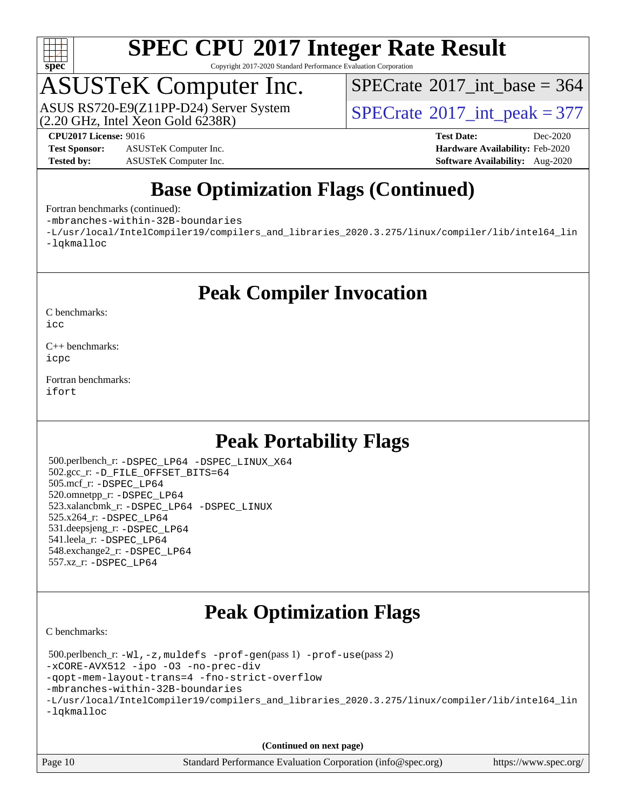

Copyright 2017-2020 Standard Performance Evaluation Corporation

## ASUSTeK Computer Inc.

 $(2.20 \text{ GHz}, \text{ Intel } \hat{\text{X}}$ con Gold 6238R) ASUS RS720-E9(Z11PP-D24) Server System  $SPECrate^{\circ}2017$  $SPECrate^{\circ}2017$  int peak = 377

 $SPECrate$ <sup>®</sup> $2017$ \_int\_base = 364

**[Test Sponsor:](http://www.spec.org/auto/cpu2017/Docs/result-fields.html#TestSponsor)** ASUSTeK Computer Inc. **[Hardware Availability:](http://www.spec.org/auto/cpu2017/Docs/result-fields.html#HardwareAvailability)** Feb-2020 **[Tested by:](http://www.spec.org/auto/cpu2017/Docs/result-fields.html#Testedby)** ASUSTeK Computer Inc. **[Software Availability:](http://www.spec.org/auto/cpu2017/Docs/result-fields.html#SoftwareAvailability)** Aug-2020

**[CPU2017 License:](http://www.spec.org/auto/cpu2017/Docs/result-fields.html#CPU2017License)** 9016 **[Test Date:](http://www.spec.org/auto/cpu2017/Docs/result-fields.html#TestDate)** Dec-2020

#### **[Base Optimization Flags \(Continued\)](http://www.spec.org/auto/cpu2017/Docs/result-fields.html#BaseOptimizationFlags)**

[Fortran benchmarks](http://www.spec.org/auto/cpu2017/Docs/result-fields.html#Fortranbenchmarks) (continued):

[-mbranches-within-32B-boundaries](http://www.spec.org/cpu2017/results/res2020q4/cpu2017-20201207-24511.flags.html#user_FCbase_f-mbranches-within-32B-boundaries)

[-L/usr/local/IntelCompiler19/compilers\\_and\\_libraries\\_2020.3.275/linux/compiler/lib/intel64\\_lin](http://www.spec.org/cpu2017/results/res2020q4/cpu2017-20201207-24511.flags.html#user_FCbase_linkpath_6eb3b1b8be403820338b5b82e7a1c217a861a8962ac718a6253be1483b50620487664a39a847caf560d84a6b8bab7cca33d9f414525a12ede1e9473db34a3d08) [-lqkmalloc](http://www.spec.org/cpu2017/results/res2020q4/cpu2017-20201207-24511.flags.html#user_FCbase_qkmalloc_link_lib_79a818439969f771c6bc311cfd333c00fc099dad35c030f5aab9dda831713d2015205805422f83de8875488a2991c0a156aaa600e1f9138f8fc37004abc96dc5)

#### **[Peak Compiler Invocation](http://www.spec.org/auto/cpu2017/Docs/result-fields.html#PeakCompilerInvocation)**

[C benchmarks](http://www.spec.org/auto/cpu2017/Docs/result-fields.html#Cbenchmarks):

[icc](http://www.spec.org/cpu2017/results/res2020q4/cpu2017-20201207-24511.flags.html#user_CCpeak_intel_icc_66fc1ee009f7361af1fbd72ca7dcefbb700085f36577c54f309893dd4ec40d12360134090235512931783d35fd58c0460139e722d5067c5574d8eaf2b3e37e92)

[C++ benchmarks:](http://www.spec.org/auto/cpu2017/Docs/result-fields.html#CXXbenchmarks) [icpc](http://www.spec.org/cpu2017/results/res2020q4/cpu2017-20201207-24511.flags.html#user_CXXpeak_intel_icpc_c510b6838c7f56d33e37e94d029a35b4a7bccf4766a728ee175e80a419847e808290a9b78be685c44ab727ea267ec2f070ec5dc83b407c0218cded6866a35d07)

[Fortran benchmarks](http://www.spec.org/auto/cpu2017/Docs/result-fields.html#Fortranbenchmarks): [ifort](http://www.spec.org/cpu2017/results/res2020q4/cpu2017-20201207-24511.flags.html#user_FCpeak_intel_ifort_8111460550e3ca792625aed983ce982f94888b8b503583aa7ba2b8303487b4d8a21a13e7191a45c5fd58ff318f48f9492884d4413fa793fd88dd292cad7027ca)

#### **[Peak Portability Flags](http://www.spec.org/auto/cpu2017/Docs/result-fields.html#PeakPortabilityFlags)**

 500.perlbench\_r: [-DSPEC\\_LP64](http://www.spec.org/cpu2017/results/res2020q4/cpu2017-20201207-24511.flags.html#b500.perlbench_r_peakPORTABILITY_DSPEC_LP64) [-DSPEC\\_LINUX\\_X64](http://www.spec.org/cpu2017/results/res2020q4/cpu2017-20201207-24511.flags.html#b500.perlbench_r_peakCPORTABILITY_DSPEC_LINUX_X64) 502.gcc\_r: [-D\\_FILE\\_OFFSET\\_BITS=64](http://www.spec.org/cpu2017/results/res2020q4/cpu2017-20201207-24511.flags.html#user_peakPORTABILITY502_gcc_r_file_offset_bits_64_5ae949a99b284ddf4e95728d47cb0843d81b2eb0e18bdfe74bbf0f61d0b064f4bda2f10ea5eb90e1dcab0e84dbc592acfc5018bc955c18609f94ddb8d550002c) 505.mcf\_r: [-DSPEC\\_LP64](http://www.spec.org/cpu2017/results/res2020q4/cpu2017-20201207-24511.flags.html#suite_peakPORTABILITY505_mcf_r_DSPEC_LP64) 520.omnetpp\_r: [-DSPEC\\_LP64](http://www.spec.org/cpu2017/results/res2020q4/cpu2017-20201207-24511.flags.html#suite_peakPORTABILITY520_omnetpp_r_DSPEC_LP64) 523.xalancbmk\_r: [-DSPEC\\_LP64](http://www.spec.org/cpu2017/results/res2020q4/cpu2017-20201207-24511.flags.html#suite_peakPORTABILITY523_xalancbmk_r_DSPEC_LP64) [-DSPEC\\_LINUX](http://www.spec.org/cpu2017/results/res2020q4/cpu2017-20201207-24511.flags.html#b523.xalancbmk_r_peakCXXPORTABILITY_DSPEC_LINUX) 525.x264\_r: [-DSPEC\\_LP64](http://www.spec.org/cpu2017/results/res2020q4/cpu2017-20201207-24511.flags.html#suite_peakPORTABILITY525_x264_r_DSPEC_LP64) 531.deepsjeng\_r: [-DSPEC\\_LP64](http://www.spec.org/cpu2017/results/res2020q4/cpu2017-20201207-24511.flags.html#suite_peakPORTABILITY531_deepsjeng_r_DSPEC_LP64) 541.leela\_r: [-DSPEC\\_LP64](http://www.spec.org/cpu2017/results/res2020q4/cpu2017-20201207-24511.flags.html#suite_peakPORTABILITY541_leela_r_DSPEC_LP64) 548.exchange2\_r: [-DSPEC\\_LP64](http://www.spec.org/cpu2017/results/res2020q4/cpu2017-20201207-24511.flags.html#suite_peakPORTABILITY548_exchange2_r_DSPEC_LP64) 557.xz\_r: [-DSPEC\\_LP64](http://www.spec.org/cpu2017/results/res2020q4/cpu2017-20201207-24511.flags.html#suite_peakPORTABILITY557_xz_r_DSPEC_LP64)

#### **[Peak Optimization Flags](http://www.spec.org/auto/cpu2017/Docs/result-fields.html#PeakOptimizationFlags)**

[C benchmarks](http://www.spec.org/auto/cpu2017/Docs/result-fields.html#Cbenchmarks):

 500.perlbench\_r: [-Wl,-z,muldefs](http://www.spec.org/cpu2017/results/res2020q4/cpu2017-20201207-24511.flags.html#user_peakEXTRA_LDFLAGS500_perlbench_r_link_force_multiple1_b4cbdb97b34bdee9ceefcfe54f4c8ea74255f0b02a4b23e853cdb0e18eb4525ac79b5a88067c842dd0ee6996c24547a27a4b99331201badda8798ef8a743f577) [-prof-gen](http://www.spec.org/cpu2017/results/res2020q4/cpu2017-20201207-24511.flags.html#user_peakPASS1_CFLAGSPASS1_LDFLAGS500_perlbench_r_prof_gen_5aa4926d6013ddb2a31985c654b3eb18169fc0c6952a63635c234f711e6e63dd76e94ad52365559451ec499a2cdb89e4dc58ba4c67ef54ca681ffbe1461d6b36)(pass 1) [-prof-use](http://www.spec.org/cpu2017/results/res2020q4/cpu2017-20201207-24511.flags.html#user_peakPASS2_CFLAGSPASS2_LDFLAGS500_perlbench_r_prof_use_1a21ceae95f36a2b53c25747139a6c16ca95bd9def2a207b4f0849963b97e94f5260e30a0c64f4bb623698870e679ca08317ef8150905d41bd88c6f78df73f19)(pass 2) [-xCORE-AVX512](http://www.spec.org/cpu2017/results/res2020q4/cpu2017-20201207-24511.flags.html#user_peakCOPTIMIZE500_perlbench_r_f-xCORE-AVX512) [-ipo](http://www.spec.org/cpu2017/results/res2020q4/cpu2017-20201207-24511.flags.html#user_peakCOPTIMIZE500_perlbench_r_f-ipo) [-O3](http://www.spec.org/cpu2017/results/res2020q4/cpu2017-20201207-24511.flags.html#user_peakCOPTIMIZE500_perlbench_r_f-O3) [-no-prec-div](http://www.spec.org/cpu2017/results/res2020q4/cpu2017-20201207-24511.flags.html#user_peakCOPTIMIZE500_perlbench_r_f-no-prec-div) [-qopt-mem-layout-trans=4](http://www.spec.org/cpu2017/results/res2020q4/cpu2017-20201207-24511.flags.html#user_peakCOPTIMIZE500_perlbench_r_f-qopt-mem-layout-trans_fa39e755916c150a61361b7846f310bcdf6f04e385ef281cadf3647acec3f0ae266d1a1d22d972a7087a248fd4e6ca390a3634700869573d231a252c784941a8) [-fno-strict-overflow](http://www.spec.org/cpu2017/results/res2020q4/cpu2017-20201207-24511.flags.html#user_peakEXTRA_OPTIMIZE500_perlbench_r_f-fno-strict-overflow) [-mbranches-within-32B-boundaries](http://www.spec.org/cpu2017/results/res2020q4/cpu2017-20201207-24511.flags.html#user_peakEXTRA_COPTIMIZE500_perlbench_r_f-mbranches-within-32B-boundaries) [-L/usr/local/IntelCompiler19/compilers\\_and\\_libraries\\_2020.3.275/linux/compiler/lib/intel64\\_lin](http://www.spec.org/cpu2017/results/res2020q4/cpu2017-20201207-24511.flags.html#user_peakEXTRA_LIBS500_perlbench_r_linkpath_6eb3b1b8be403820338b5b82e7a1c217a861a8962ac718a6253be1483b50620487664a39a847caf560d84a6b8bab7cca33d9f414525a12ede1e9473db34a3d08) [-lqkmalloc](http://www.spec.org/cpu2017/results/res2020q4/cpu2017-20201207-24511.flags.html#user_peakEXTRA_LIBS500_perlbench_r_qkmalloc_link_lib_79a818439969f771c6bc311cfd333c00fc099dad35c030f5aab9dda831713d2015205805422f83de8875488a2991c0a156aaa600e1f9138f8fc37004abc96dc5)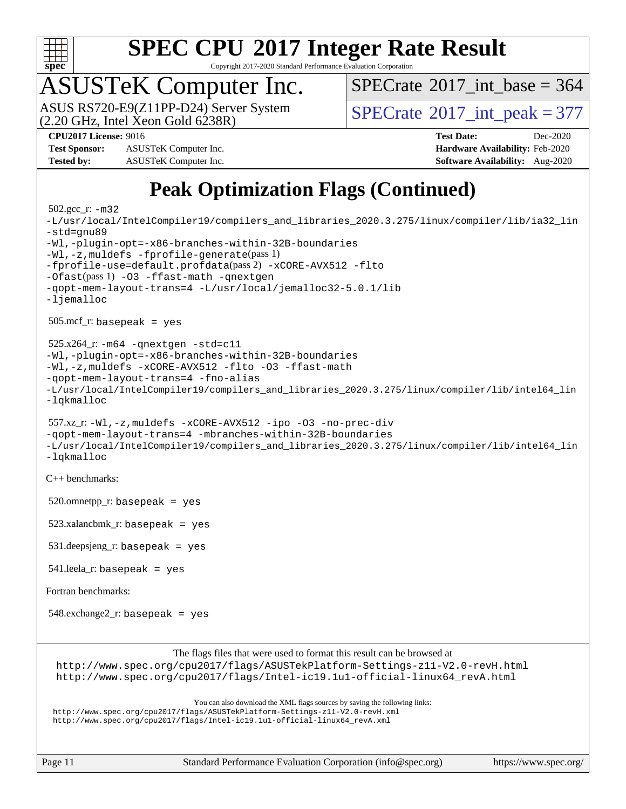

Copyright 2017-2020 Standard Performance Evaluation Corporation

## ASUSTeK Computer Inc.

 $(2.20 \text{ GHz}, \text{ Intel } \hat{\text{X}}$ con Gold 6238R) ASUS RS720-E9(Z11PP-D24) Server System  $SPECrate^{\circ}2017$  $SPECrate^{\circ}2017$  int peak = 377

 $SPECTate$ <sup>®</sup>[2017\\_int\\_base =](http://www.spec.org/auto/cpu2017/Docs/result-fields.html#SPECrate2017intbase) 364

**[Test Sponsor:](http://www.spec.org/auto/cpu2017/Docs/result-fields.html#TestSponsor)** ASUSTeK Computer Inc. **[Hardware Availability:](http://www.spec.org/auto/cpu2017/Docs/result-fields.html#HardwareAvailability)** Feb-2020 **[Tested by:](http://www.spec.org/auto/cpu2017/Docs/result-fields.html#Testedby)** ASUSTeK Computer Inc. **[Software Availability:](http://www.spec.org/auto/cpu2017/Docs/result-fields.html#SoftwareAvailability)** Aug-2020

**[CPU2017 License:](http://www.spec.org/auto/cpu2017/Docs/result-fields.html#CPU2017License)** 9016 **[Test Date:](http://www.spec.org/auto/cpu2017/Docs/result-fields.html#TestDate)** Dec-2020

### **[Peak Optimization Flags \(Continued\)](http://www.spec.org/auto/cpu2017/Docs/result-fields.html#PeakOptimizationFlags)**

```
 502.gcc_r: -m32
-L/usr/local/IntelCompiler19/compilers_and_libraries_2020.3.275/linux/compiler/lib/ia32_lin
-std=gnu89
-Wl,-plugin-opt=-x86-branches-within-32B-boundaries
-Wl,-z,muldefs -fprofile-generate(pass 1)
-fprofile-use=default.profdata(pass 2) -xCORE-AVX512 -flto
-Ofast(pass 1) -O3 -ffast-math -qnextgen
-qopt-mem-layout-trans=4 -L/usr/local/jemalloc32-5.0.1/lib
-ljemalloc
 505.mcf_r: basepeak = yes
525.x264_r: -m64-qnextgen -std=cl1-Wl,-plugin-opt=-x86-branches-within-32B-boundaries
-Wl,-z,muldefs -xCORE-AVX512 -flto -O3 -ffast-math
-qopt-mem-layout-trans=4 -fno-alias
-L/usr/local/IntelCompiler19/compilers_and_libraries_2020.3.275/linux/compiler/lib/intel64_lin
-lqkmalloc
 557.xz_r: -Wl,-z,muldefs -xCORE-AVX512 -ipo -O3 -no-prec-div
-qopt-mem-layout-trans=4 -mbranches-within-32B-boundaries
-L/usr/local/IntelCompiler19/compilers_and_libraries_2020.3.275/linux/compiler/lib/intel64_lin
-lqkmalloc
C++ benchmarks: 
520.omnetpp_r: basepeak = yes
 523.xalancbmk_r: basepeak = yes
 531.deepsjeng_r: basepeak = yes
541.leela_r: basepeak = yes
Fortran benchmarks: 
548.exchange2_r: basepeak = yes
                       The flags files that were used to format this result can be browsed at
 http://www.spec.org/cpu2017/flags/ASUSTekPlatform-Settings-z11-V2.0-revH.html
 http://www.spec.org/cpu2017/flags/Intel-ic19.1u1-official-linux64_revA.html
                           You can also download the XML flags sources by saving the following links:
 http://www.spec.org/cpu2017/flags/ASUSTekPlatform-Settings-z11-V2.0-revH.xml
 http://www.spec.org/cpu2017/flags/Intel-ic19.1u1-official-linux64_revA.xml
```